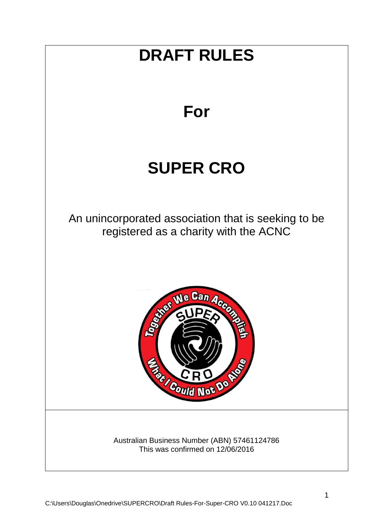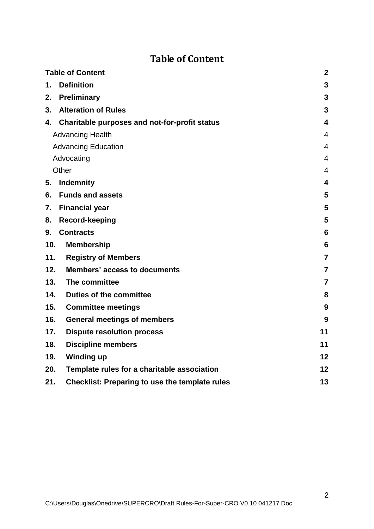# **Table of Content**

<span id="page-1-0"></span>

| <b>Table of Content</b>                                      | $\boldsymbol{2}$        |
|--------------------------------------------------------------|-------------------------|
| <b>Definition</b><br>1.                                      | $\mathbf{3}$            |
| Preliminary<br>2.                                            | 3                       |
| <b>Alteration of Rules</b><br>3.                             | $\mathbf{3}$            |
| 4. Charitable purposes and not-for-profit status             | 4                       |
| <b>Advancing Health</b>                                      | $\overline{4}$          |
| <b>Advancing Education</b>                                   | $\overline{4}$          |
| Advocating                                                   | $\overline{4}$          |
| Other                                                        | $\overline{4}$          |
| <b>Indemnity</b><br>5.                                       | $\overline{\mathbf{4}}$ |
| <b>Funds and assets</b><br>6.                                | 5                       |
| <b>Financial year</b><br>7.                                  | 5                       |
| <b>Record-keeping</b><br>8.                                  | 5                       |
| <b>Contracts</b><br>9.                                       | 6                       |
| 10.<br><b>Membership</b>                                     | $6\phantom{1}6$         |
| 11.<br><b>Registry of Members</b>                            | $\overline{7}$          |
| 12.<br><b>Members' access to documents</b>                   | $\overline{7}$          |
| 13.<br>The committee                                         | $\overline{7}$          |
| <b>Duties of the committee</b><br>14.                        | 8                       |
| 15.<br><b>Committee meetings</b>                             | 9                       |
| <b>General meetings of members</b><br>16.                    | 9                       |
| 17.<br><b>Dispute resolution process</b>                     | 11                      |
| <b>Discipline members</b><br>18.                             | 11                      |
| 19.<br><b>Winding up</b>                                     | 12                      |
| 20.<br>Template rules for a charitable association           | 12                      |
| <b>Checklist: Preparing to use the template rules</b><br>21. | 13                      |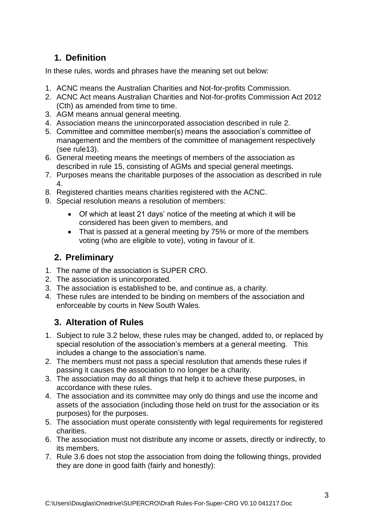# <span id="page-2-0"></span>**1. Definition**

In these rules, words and phrases have the meaning set out below:

- 1. ACNC means the Australian Charities and Not-for-profits Commission.
- 2. ACNC Act means Australian Charities and Not-for-profits Commission Act 2012 (Cth) as amended from time to time.
- 3. AGM means annual general meeting.
- 4. Association means the unincorporated association described in rule 2.
- 5. Committee and committee member(s) means the association's committee of management and the members of the committee of management respectively (see rule13).
- 6. General meeting means the meetings of members of the association as described in rule 15, consisting of AGMs and special general meetings.
- 7. Purposes means the charitable purposes of the association as described in rule 4.
- 8. Registered charities means charities registered with the ACNC.
- 9. Special resolution means a resolution of members:
	- Of which at least 21 days' notice of the meeting at which it will be considered has been given to members, and
	- That is passed at a general meeting by 75% or more of the members voting (who are eligible to vote), voting in favour of it.

## <span id="page-2-1"></span>**2. Preliminary**

- 1. The name of the association is SUPER CRO.
- 2. The association is unincorporated.
- 3. The association is established to be, and continue as, a charity.
- 4. These rules are intended to be binding on members of the association and enforceable by courts in New South Wales.

## <span id="page-2-2"></span>**3. Alteration of Rules**

- 1. Subject to rule 3.2 below, these rules may be changed, added to, or replaced by special resolution of the association's members at a general meeting. This includes a change to the association's name.
- 2. The members must not pass a special resolution that amends these rules if passing it causes the association to no longer be a charity.
- 3. The association may do all things that help it to achieve these purposes, in accordance with these rules.
- 4. The association and its committee may only do things and use the income and assets of the association (including those held on trust for the association or its purposes) for the purposes.
- 5. The association must operate consistently with legal requirements for registered charities.
- 6. The association must not distribute any income or assets, directly or indirectly, to its members.
- 7. Rule 3.6 does not stop the association from doing the following things, provided they are done in good faith (fairly and honestly):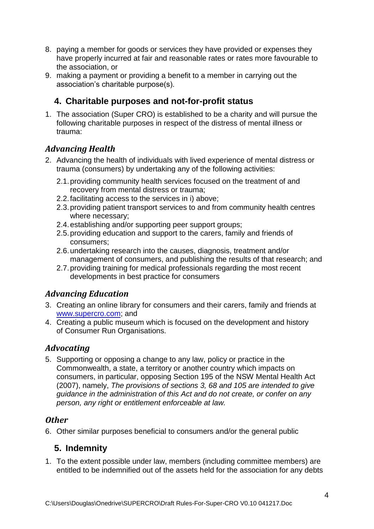- 8. paying a member for goods or services they have provided or expenses they have properly incurred at fair and reasonable rates or rates more favourable to the association, or
- 9. making a payment or providing a benefit to a member in carrying out the association's charitable purpose(s).

## <span id="page-3-0"></span>**4. Charitable purposes and not-for-profit status**

1. The association (Super CRO) is established to be a charity and will pursue the following charitable purposes in respect of the distress of mental illness or trauma:

### <span id="page-3-1"></span>*Advancing Health*

- 2. Advancing the health of individuals with lived experience of mental distress or trauma (consumers) by undertaking any of the following activities:
	- 2.1.providing community health services focused on the treatment of and recovery from mental distress or trauma;
	- 2.2.facilitating access to the services in i) above;
	- 2.3.providing patient transport services to and from community health centres where necessary;
	- 2.4.establishing and/or supporting peer support groups;
	- 2.5.providing education and support to the carers, family and friends of consumers;
	- 2.6.undertaking research into the causes, diagnosis, treatment and/or management of consumers, and publishing the results of that research; and
	- 2.7.providing training for medical professionals regarding the most recent developments in best practice for consumers

### <span id="page-3-2"></span>*Advancing Education*

- 3. Creating an online library for consumers and their carers, family and friends at [www.supercro.com;](http://www.supercro.com/) and
- 4. Creating a public museum which is focused on the development and history of Consumer Run Organisations.

### <span id="page-3-3"></span>*Advocating*

5. Supporting or opposing a change to any law, policy or practice in the Commonwealth, a state, a territory or another country which impacts on consumers, in particular, opposing Section 195 of the NSW Mental Health Act (2007), namely, *The provisions of sections 3, 68 and 105 are intended to give guidance in the administration of this Act and do not create, or confer on any person, any right or entitlement enforceable at law.*

#### <span id="page-3-4"></span>*Other*

<span id="page-3-5"></span>6. Other similar purposes beneficial to consumers and/or the general public

### **5. Indemnity**

1. To the extent possible under law, members (including committee members) are entitled to be indemnified out of the assets held for the association for any debts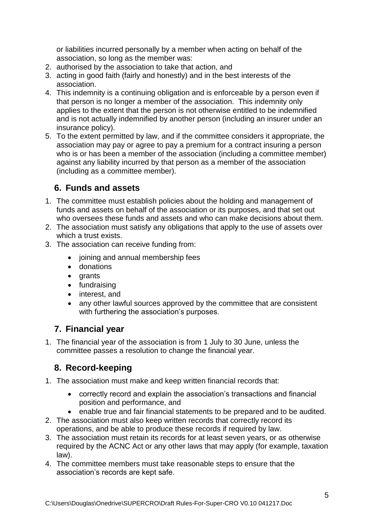or liabilities incurred personally by a member when acting on behalf of the association, so long as the member was:

- 2. authorised by the association to take that action, and
- 3. acting in good faith (fairly and honestly) and in the best interests of the association.
- 4. This indemnity is a continuing obligation and is enforceable by a person even if that person is no longer a member of the association. This indemnity only applies to the extent that the person is not otherwise entitled to be indemnified and is not actually indemnified by another person (including an insurer under an insurance policy).
- 5. To the extent permitted by law, and if the committee considers it appropriate, the association may pay or agree to pay a premium for a contract insuring a person who is or has been a member of the association (including a committee member) against any liability incurred by that person as a member of the association (including as a committee member).

## <span id="page-4-0"></span>**6. Funds and assets**

- 1. The committee must establish policies about the holding and management of funds and assets on behalf of the association or its purposes, and that set out who oversees these funds and assets and who can make decisions about them.
- 2. The association must satisfy any obligations that apply to the use of assets over which a trust exists.
- 3. The association can receive funding from:
	- joining and annual membership fees
	- donations
	- grants
	- fundraising
	- interest, and
	- any other lawful sources approved by the committee that are consistent with furthering the association's purposes.

## <span id="page-4-1"></span>**7. Financial year**

1. The financial year of the association is from 1 July to 30 June, unless the committee passes a resolution to change the financial year.

### <span id="page-4-2"></span>**8. Record-keeping**

- 1. The association must make and keep written financial records that:
	- correctly record and explain the association's transactions and financial position and performance, and
	- enable true and fair financial statements to be prepared and to be audited.
- 2. The association must also keep written records that correctly record its operations, and be able to produce these records if required by law.
- 3. The association must retain its records for at least seven years, or as otherwise required by the ACNC Act or any other laws that may apply (for example, taxation law).
- 4. The committee members must take reasonable steps to ensure that the association's records are kept safe.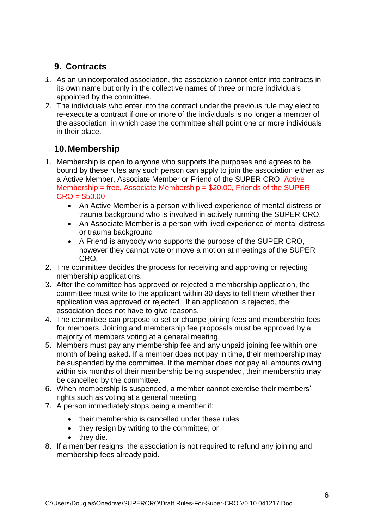## <span id="page-5-0"></span>**9. Contracts**

- *1.* As an unincorporated association, the association cannot enter into contracts in its own name but only in the collective names of three or more individuals appointed by the committee.
- 2. The individuals who enter into the contract under the previous rule may elect to re-execute a contract if one or more of the individuals is no longer a member of the association, in which case the committee shall point one or more individuals in their place.

## <span id="page-5-1"></span>**10. Membership**

- 1. Membership is open to anyone who supports the purposes and agrees to be bound by these rules any such person can apply to join the association either as a Active Member, Associate Member or Friend of the SUPER CRO. Active Membership = free, Associate Membership = \$20.00, Friends of the SUPER  $CRO = $50.00$ 
	- An Active Member is a person with lived experience of mental distress or trauma background who is involved in actively running the SUPER CRO.
	- An Associate Member is a person with lived experience of mental distress or trauma background
	- A Friend is anybody who supports the purpose of the SUPER CRO, however they cannot vote or move a motion at meetings of the SUPER CRO.
- 2. The committee decides the process for receiving and approving or rejecting membership applications.
- 3. After the committee has approved or rejected a membership application, the committee must write to the applicant within 30 days to tell them whether their application was approved or rejected. If an application is rejected, the association does not have to give reasons.
- 4. The committee can propose to set or change joining fees and membership fees for members. Joining and membership fee proposals must be approved by a majority of members voting at a general meeting.
- 5. Members must pay any membership fee and any unpaid joining fee within one month of being asked. If a member does not pay in time, their membership may be suspended by the committee. If the member does not pay all amounts owing within six months of their membership being suspended, their membership may be cancelled by the committee.
- 6. When membership is suspended, a member cannot exercise their members' rights such as voting at a general meeting.
- 7. A person immediately stops being a member if:
	- their membership is cancelled under these rules
	- they resign by writing to the committee; or
	- they die.
- 8. If a member resigns, the association is not required to refund any joining and membership fees already paid.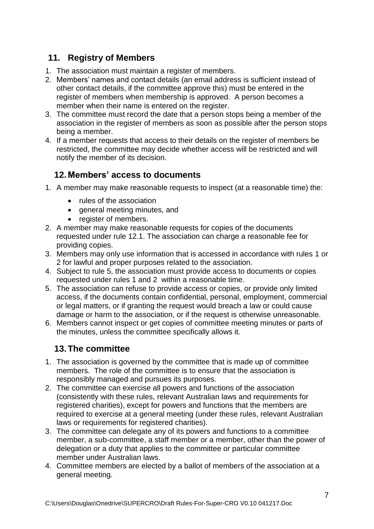## <span id="page-6-0"></span>**11. Registry of Members**

- 1. The association must maintain a register of members.
- 2. Members' names and contact details (an email address is sufficient instead of other contact details, if the committee approve this) must be entered in the register of members when membership is approved. A person becomes a member when their name is entered on the register.
- 3. The committee must record the date that a person stops being a member of the association in the register of members as soon as possible after the person stops being a member.
- 4. If a member requests that access to their details on the register of members be restricted, the committee may decide whether access will be restricted and will notify the member of its decision.

### <span id="page-6-1"></span>**12. Members' access to documents**

- <span id="page-6-3"></span>1. A member may make reasonable requests to inspect (at a reasonable time) the:
	- rules of the association
	- general meeting minutes, and
	- register of members.
- <span id="page-6-4"></span>2. A member may make reasonable requests for copies of the documents requested under rule 12.1. The association can charge a reasonable fee for providing copies.
- 3. Members may only use information that is accessed in accordance with rules [1](#page-6-3) or [2](#page-6-4) for lawful and proper purposes related to the association.
- 4. Subject to rule [5,](#page-6-5) the association must provide access to documents or copies requested under rules [1](#page-6-3) and [2](#page-6-4) within a reasonable time.
- <span id="page-6-5"></span>5. The association can refuse to provide access or copies, or provide only limited access, if the documents contain confidential, personal, employment, commercial or legal matters, or if granting the request would breach a law or could cause damage or harm to the association, or if the request is otherwise unreasonable.
- 6. Members cannot inspect or get copies of committee meeting minutes or parts of the minutes, unless the committee specifically allows it.

### <span id="page-6-2"></span>**13.The committee**

- 1. The association is governed by the committee that is made up of committee members. The role of the committee is to ensure that the association is responsibly managed and pursues its purposes.
- 2. The committee can exercise all powers and functions of the association (consistently with these rules, relevant Australian laws and requirements for registered charities), except for powers and functions that the members are required to exercise at a general meeting (under these rules, relevant Australian laws or requirements for registered charities).
- 3. The committee can delegate any of its powers and functions to a committee member, a sub-committee, a staff member or a member, other than the power of delegation or a duty that applies to the committee or particular committee member under Australian laws.
- 4. Committee members are elected by a ballot of members of the association at a general meeting.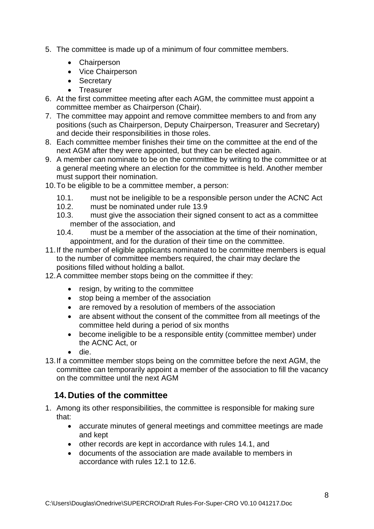- 5. The committee is made up of a minimum of four committee members.
	- Chairperson
	- Vice Chairperson
	- Secretary
	- Treasurer
- 6. At the first committee meeting after each AGM, the committee must appoint a committee member as Chairperson (Chair).
- 7. The committee may appoint and remove committee members to and from any positions (such as Chairperson, Deputy Chairperson, Treasurer and Secretary) and decide their responsibilities in those roles.
- 8. Each committee member finishes their time on the committee at the end of the next AGM after they were appointed, but they can be elected again.
- 9. A member can nominate to be on the committee by writing to the committee or at a general meeting where an election for the committee is held. Another member must support their nomination.
- 10.To be eligible to be a committee member, a person:
	- 10.1. must not be ineligible to be a responsible person under the ACNC Act
	- 10.2. must be nominated under rule 13.9
	- 10.3. must give the association their signed consent to act as a committee member of the association, and
	- 10.4. must be a member of the association at the time of their nomination, appointment, and for the duration of their time on the committee.
- 11.If the number of eligible applicants nominated to be committee members is equal to the number of committee members required, the chair may declare the positions filled without holding a ballot.
- 12.A committee member stops being on the committee if they:
	- resign, by writing to the committee
	- stop being a member of the association
	- are removed by a resolution of members of the association
	- are absent without the consent of the committee from all meetings of the committee held during a period of six months
	- become ineligible to be a responsible entity (committee member) under the ACNC Act, or
	- die.
- 13.If a committee member stops being on the committee before the next AGM, the committee can temporarily appoint a member of the association to fill the vacancy on the committee until the next AGM

### <span id="page-7-0"></span>**14. Duties of the committee**

- 1. Among its other responsibilities, the committee is responsible for making sure that:
	- accurate minutes of general meetings and committee meetings are made and kept
	- other records are kept in accordance with rules 14.1, and
	- documents of the association are made available to members in accordance with rules 12.1 to 12.6.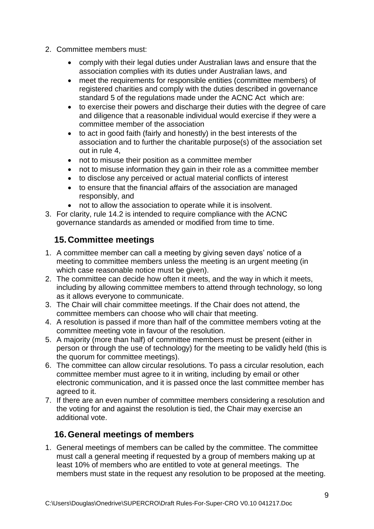- 2. Committee members must:
	- comply with their legal duties under Australian laws and ensure that the association complies with its duties under Australian laws, and
	- meet the requirements for responsible entities (committee members) of registered charities and comply with the duties described in governance standard 5 of the regulations made under the ACNC Act which are:
	- to exercise their powers and discharge their duties with the degree of care and diligence that a reasonable individual would exercise if they were a committee member of the association
	- to act in good faith (fairly and honestly) in the best interests of the association and to further the charitable purpose(s) of the association set out in rule [4,](#page-3-0)
	- not to misuse their position as a committee member
	- not to misuse information they gain in their role as a committee member
	- to disclose any perceived or actual material conflicts of interest
	- to ensure that the financial affairs of the association are managed responsibly, and
	- not to allow the association to operate while it is insolvent.
- 3. For clarity, rule 14.2 is intended to require compliance with the ACNC governance standards as amended or modified from time to time.

### <span id="page-8-0"></span>**15. Committee meetings**

- 1. A committee member can call a meeting by giving seven days' notice of a meeting to committee members unless the meeting is an urgent meeting (in which case reasonable notice must be given).
- 2. The committee can decide how often it meets, and the way in which it meets, including by allowing committee members to attend through technology, so long as it allows everyone to communicate.
- 3. The Chair will chair committee meetings. If the Chair does not attend, the committee members can choose who will chair that meeting.
- 4. A resolution is passed if more than half of the committee members voting at the committee meeting vote in favour of the resolution.
- 5. A majority (more than half) of committee members must be present (either in person or through the use of technology) for the meeting to be validly held (this is the quorum for committee meetings).
- 6. The committee can allow circular resolutions. To pass a circular resolution, each committee member must agree to it in writing, including by email or other electronic communication, and it is passed once the last committee member has agreed to it.
- 7. If there are an even number of committee members considering a resolution and the voting for and against the resolution is tied, the Chair may exercise an additional vote.

### <span id="page-8-1"></span>**16.General meetings of members**

<span id="page-8-2"></span>1. General meetings of members can be called by the committee. The committee must call a general meeting if requested by a group of members making up at least 10% of members who are entitled to vote at general meetings. The members must state in the request any resolution to be proposed at the meeting.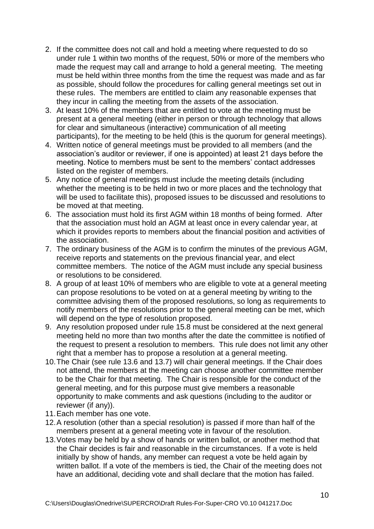- 2. If the committee does not call and hold a meeting where requested to do so under rule [1](#page-8-2) within two months of the request, 50% or more of the members who made the request may call and arrange to hold a general meeting. The meeting must be held within three months from the time the request was made and as far as possible, should follow the procedures for calling general meetings set out in these rules. The members are entitled to claim any reasonable expenses that they incur in calling the meeting from the assets of the association.
- 3. At least 10% of the members that are entitled to vote at the meeting must be present at a general meeting (either in person or through technology that allows for clear and simultaneous (interactive) communication of all meeting participants), for the meeting to be held (this is the quorum for general meetings).
- 4. Written notice of general meetings must be provided to all members (and the association's auditor or reviewer, if one is appointed) at least 21 days before the meeting. Notice to members must be sent to the members' contact addresses listed on the register of members.
- 5. Any notice of general meetings must include the meeting details (including whether the meeting is to be held in two or more places and the technology that will be used to facilitate this), proposed issues to be discussed and resolutions to be moved at that meeting.
- 6. The association must hold its first AGM within 18 months of being formed. After that the association must hold an AGM at least once in every calendar year, at which it provides reports to members about the financial position and activities of the association.
- 7. The ordinary business of the AGM is to confirm the minutes of the previous AGM, receive reports and statements on the previous financial year, and elect committee members. The notice of the AGM must include any special business or resolutions to be considered.
- 8. A group of at least 10% of members who are eligible to vote at a general meeting can propose resolutions to be voted on at a general meeting by writing to the committee advising them of the proposed resolutions, so long as requirements to notify members of the resolutions prior to the general meeting can be met, which will depend on the type of resolution proposed.
- 9. Any resolution proposed under rule 15.8 must be considered at the next general meeting held no more than two months after the date the committee is notified of the request to present a resolution to members. This rule does not limit any other right that a member has to propose a resolution at a general meeting.
- 10.The Chair (see rule 13.6 and 13.7) will chair general meetings. If the Chair does not attend, the members at the meeting can choose another committee member to be the Chair for that meeting. The Chair is responsible for the conduct of the general meeting, and for this purpose must give members a reasonable opportunity to make comments and ask questions (including to the auditor or reviewer (if any)).
- 11.Each member has one vote.
- 12.A resolution (other than a special resolution) is passed if more than half of the members present at a general meeting vote in favour of the resolution.
- 13.Votes may be held by a show of hands or written ballot, or another method that the Chair decides is fair and reasonable in the circumstances. If a vote is held initially by show of hands, any member can request a vote be held again by written ballot. If a vote of the members is tied, the Chair of the meeting does not have an additional, deciding vote and shall declare that the motion has failed.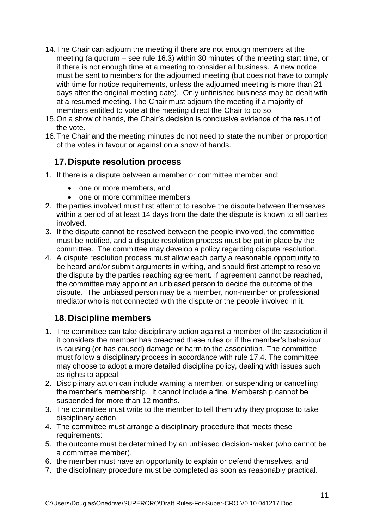- 14.The Chair can adjourn the meeting if there are not enough members at the meeting (a quorum – see rule 16.3) within 30 minutes of the meeting start time, or if there is not enough time at a meeting to consider all business. A new notice must be sent to members for the adjourned meeting (but does not have to comply with time for notice requirements, unless the adjourned meeting is more than 21 days after the original meeting date). Only unfinished business may be dealt with at a resumed meeting. The Chair must adjourn the meeting if a majority of members entitled to vote at the meeting direct the Chair to do so.
- 15.On a show of hands, the Chair's decision is conclusive evidence of the result of the vote.
- 16.The Chair and the meeting minutes do not need to state the number or proportion of the votes in favour or against on a show of hands.

## <span id="page-10-0"></span>**17. Dispute resolution process**

- 1. If there is a dispute between a member or committee member and:
	- one or more members, and
	- one or more committee members
- 2. the parties involved must first attempt to resolve the dispute between themselves within a period of at least 14 days from the date the dispute is known to all parties involved.
- 3. If the dispute cannot be resolved between the people involved, the committee must be notified, and a dispute resolution process must be put in place by the committee. The committee may develop a policy regarding dispute resolution.
- 4. A dispute resolution process must allow each party a reasonable opportunity to be heard and/or submit arguments in writing, and should first attempt to resolve the dispute by the parties reaching agreement. If agreement cannot be reached, the committee may appoint an unbiased person to decide the outcome of the dispute. The unbiased person may be a member, non-member or professional mediator who is not connected with the dispute or the people involved in it.

### <span id="page-10-1"></span>**18. Discipline members**

- 1. The committee can take disciplinary action against a member of the association if it considers the member has breached these rules or if the member's behaviour is causing (or has caused) damage or harm to the association. The committee must follow a disciplinary process in accordance with rule 17.4. The committee may choose to adopt a more detailed discipline policy, dealing with issues such as rights to appeal.
- 2. Disciplinary action can include warning a member, or suspending or cancelling the member's membership. It cannot include a fine. Membership cannot be suspended for more than 12 months.
- 3. The committee must write to the member to tell them why they propose to take disciplinary action.
- 4. The committee must arrange a disciplinary procedure that meets these requirements:
- 5. the outcome must be determined by an unbiased decision-maker (who cannot be a committee member),
- 6. the member must have an opportunity to explain or defend themselves, and
- 7. the disciplinary procedure must be completed as soon as reasonably practical.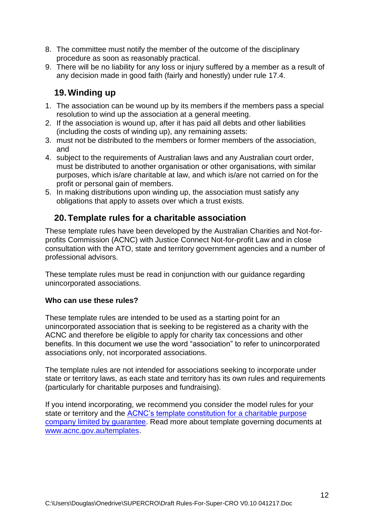- 8. The committee must notify the member of the outcome of the disciplinary procedure as soon as reasonably practical.
- 9. There will be no liability for any loss or injury suffered by a member as a result of any decision made in good faith (fairly and honestly) under rule 17.4.

### <span id="page-11-0"></span>**19.Winding up**

- 1. The association can be wound up by its members if the members pass a special resolution to wind up the association at a general meeting.
- 2. If the association is wound up, after it has paid all debts and other liabilities (including the costs of winding up), any remaining assets:
- 3. must not be distributed to the members or former members of the association, and
- 4. subject to the requirements of Australian laws and any Australian court order, must be distributed to another organisation or other organisations, with similar purposes, which is/are charitable at law, and which is/are not carried on for the profit or personal gain of members.
- 5. In making distributions upon winding up, the association must satisfy any obligations that apply to assets over which a trust exists.

### <span id="page-11-1"></span>**20.Template rules for a charitable association**

These template rules have been developed by the Australian Charities and Not-forprofits Commission (ACNC) with Justice Connect Not-for-profit Law and in close consultation with the ATO, state and territory government agencies and a number of professional advisors.

These template rules must be read in conjunction with our quidance regarding unincorporated associations.

#### **Who can use these rules?**

These template rules are intended to be used as a starting point for an unincorporated association that is seeking to be registered as a charity with the ACNC and therefore be eligible to apply for charity tax concessions and other benefits. In this document we use the word "association" to refer to unincorporated associations only, not incorporated associations.

The template rules are not intended for associations seeking to incorporate under state or territory laws, as each state and territory has its own rules and requirements (particularly for charitable purposes and fundraising).

If you intend incorporating, we recommend you consider the model rules for your state or territory and the [ACNC's template constitution for a charitable purpose](http://www.acnc.gov.au/ACNC/Publications/Templates/ConstitutionTemplate.aspx)  [company limited by guarantee.](http://www.acnc.gov.au/ACNC/Publications/Templates/ConstitutionTemplate.aspx) Read more about template governing documents at [www.acnc.gov.au/templates.](http://www.acnc.gov.au/templates)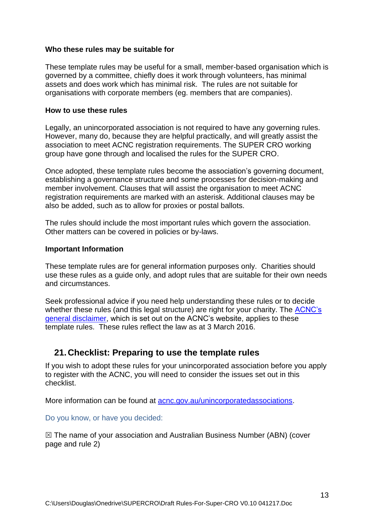#### **Who these rules may be suitable for**

These template rules may be useful for a small, member-based organisation which is governed by a committee, chiefly does it work through volunteers, has minimal assets and does work which has minimal risk. The rules are not suitable for organisations with corporate members (eg. members that are companies).

#### **How to use these rules**

Legally, an unincorporated association is not required to have any governing rules. However, many do, because they are helpful practically, and will greatly assist the association to meet ACNC registration requirements. The SUPER CRO working group have gone through and localised the rules for the SUPER CRO.

Once adopted, these template rules become the association's governing document, establishing a governance structure and some processes for decision-making and member involvement. Clauses that will assist the organisation to meet ACNC registration requirements are marked with an asterisk. Additional clauses may be also be added, such as to allow for proxies or postal ballots.

The rules should include the most important rules which govern the association. Other matters can be covered in policies or by-laws.

#### **Important Information**

These template rules are for general information purposes only. Charities should use these rules as a guide only, and adopt rules that are suitable for their own needs and circumstances.

Seek professional advice if you need help understanding these rules or to decide whether these rules (and this legal structure) are right for your charity. The ACNC's [general disclaimer,](http://acnc.gov.au/ACNC/About_ACNC/Site_information/Disclaimer/ACNC/Site/Disclaimer.aspx) which is set out on the ACNC's website, applies to these template rules. These rules reflect the law as at 3 March 2016.

#### <span id="page-12-0"></span>**21. Checklist: Preparing to use the template rules**

If you wish to adopt these rules for your unincorporated association before you apply to register with the ACNC, you will need to consider the issues set out in this checklist.

More information can be found at [acnc.gov.au/unincorporatedassociations.](http://www.acnc.gov.au/unincorporatedrules)

Do you know, or have you decided:

 $\boxtimes$  The name of your association and Australian Business Number (ABN) (cover page and rule 2)